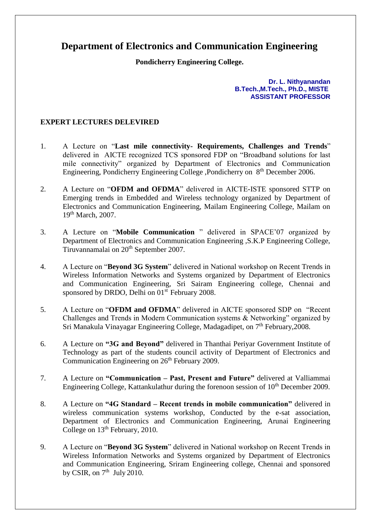## **Department of Electronics and Communication Engineering**

**Pondicherry Engineering College.**

**Dr. L. Nithyanandan B.Tech.,M.Tech., Ph.D., MISTE ASSISTANT PROFESSOR**

## **EXPERT LECTURES DELEVIRED**

- 1. A Lecture on "**Last mile connectivity- Requirements, Challenges and Trends**" delivered in AICTE recognized TCS sponsored FDP on "Broadband solutions for last mile connectivity" organized by Department of Electronics and Communication Engineering, Pondicherry Engineering College , Pondicherry on 8<sup>th</sup> December 2006.
- 2. A Lecture on "**OFDM and OFDMA**" delivered in AICTE-ISTE sponsored STTP on Emerging trends in Embedded and Wireless technology organized by Department of Electronics and Communication Engineering, Mailam Engineering College, Mailam on 19th March, 2007.
- 3. A Lecture on "**Mobile Communication** " delivered in SPACE'07 organized by Department of Electronics and Communication Engineering ,S.K.P Engineering College, Tiruvannamalai on 20<sup>th</sup> September 2007.
- 4. A Lecture on "**Beyond 3G System**" delivered in National workshop on Recent Trends in Wireless Information Networks and Systems organized by Department of Electronics and Communication Engineering, Sri Sairam Engineering college, Chennai and sponsored by DRDO, Delhi on 01<sup>st</sup> February 2008.
- 5. A Lecture on "**OFDM and OFDMA**" delivered in AICTE sponsored SDP on "Recent Challenges and Trends in Modern Communication systems & Networking" organized by Sri Manakula Vinayagar Engineering College, Madagadipet, on 7<sup>th</sup> February, 2008.
- 6. A Lecture on **"3G and Beyond"** delivered in Thanthai Periyar Government Institute of Technology as part of the students council activity of Department of Electronics and Communication Engineering on 26<sup>th</sup> February 2009.
- 7. A Lecture on **"Communication – Past, Present and Future"** delivered at Valliammai Engineering College, Kattankulathur during the forenoon session of  $10<sup>th</sup>$  December 2009.
- 8. A Lecture on **"4G Standard – Recent trends in mobile communication"** delivered in wireless communication systems workshop, Conducted by the e-sat association, Department of Electronics and Communication Engineering, Arunai Engineering College on  $13<sup>th</sup>$  February, 2010.
- 9. A Lecture on "**Beyond 3G System**" delivered in National workshop on Recent Trends in Wireless Information Networks and Systems organized by Department of Electronics and Communication Engineering, Sriram Engineering college, Chennai and sponsored by CSIR, on  $7<sup>th</sup>$  July 2010.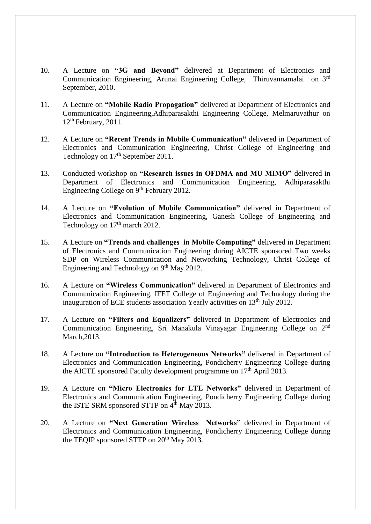- 10. A Lecture on **"3G and Beyond"** delivered at Department of Electronics and Communication Engineering, Arunai Engineering College, Thiruvannamalai on 3rd September, 2010.
- 11. A Lecture on **"Mobile Radio Propagation"** delivered at Department of Electronics and Communication Engineering,Adhiparasakthi Engineering College, Melmaruvathur on  $12<sup>th</sup>$  February, 2011.
- 12. A Lecture on **"Recent Trends in Mobile Communication"** delivered in Department of Electronics and Communication Engineering, Christ College of Engineering and Technology on  $17<sup>th</sup>$  September 2011.
- 13. Conducted workshop on **"Research issues in OFDMA and MU MIMO"** delivered in Department of Electronics and Communication Engineering, Adhiparasakthi Engineering College on 9<sup>th</sup> February 2012.
- 14. A Lecture on **"Evolution of Mobile Communication"** delivered in Department of Electronics and Communication Engineering, Ganesh College of Engineering and Technology on  $17<sup>th</sup>$  march 2012.
- 15. A Lecture on **"Trends and challenges in Mobile Computing"** delivered in Department of Electronics and Communication Engineering during AICTE sponsored Two weeks SDP on Wireless Communication and Networking Technology, Christ College of Engineering and Technology on 9<sup>th</sup> May 2012.
- 16. A Lecture on **"Wireless Communication"** delivered in Department of Electronics and Communication Engineering, IFET College of Engineering and Technology during the inauguration of ECE students association Yearly activities on 13<sup>th</sup> July 2012.
- 17. A Lecture on **"Filters and Equalizers"** delivered in Department of Electronics and Communication Engineering, Sri Manakula Vinayagar Engineering College on 2nd March,2013.
- 18. A Lecture on **"Introduction to Heterogeneous Networks"** delivered in Department of Electronics and Communication Engineering, Pondicherry Engineering College during the AICTE sponsored Faculty development programme on  $17<sup>th</sup>$  April 2013.
- 19. A Lecture on **"Micro Electronics for LTE Networks"** delivered in Department of Electronics and Communication Engineering, Pondicherry Engineering College during the ISTE SRM sponsored STTP on  $4^{\text{th}}$  May 2013.
- 20. A Lecture on **"Next Generation Wireless Networks"** delivered in Department of Electronics and Communication Engineering, Pondicherry Engineering College during the TEQIP sponsored STTP on 20<sup>th</sup> May 2013.